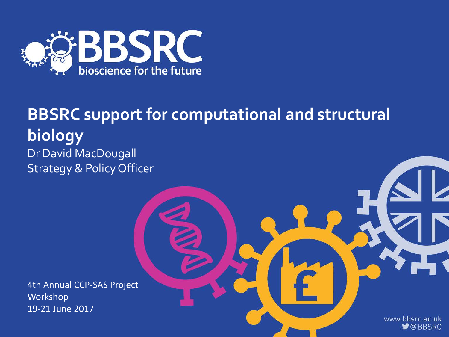

### **BBSRC support for computational and structural biology**  Dr David MacDougall Strategy & Policy Officer

4th Annual CCP-SAS Project Workshop 19-21 June 2017

> www.bbsrc.ac.uk  $\bigtriangledown$ @BBSRC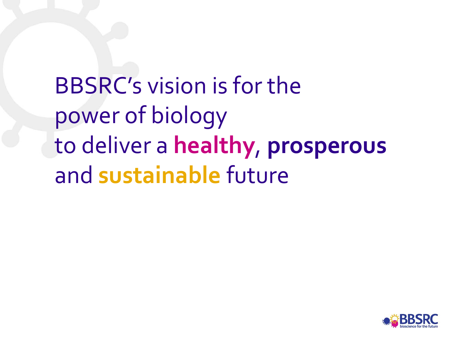BBSRC's vision is for the power of biology to deliver a **healthy**, **prosperous** and **sustainable** future

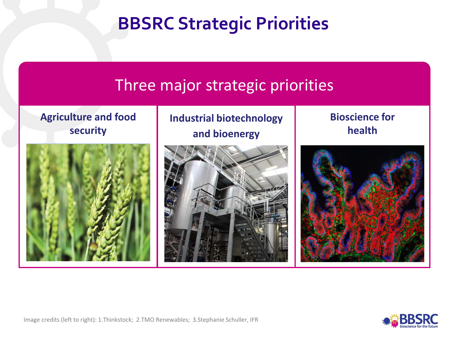# **BBSRC Strategic Priorities**



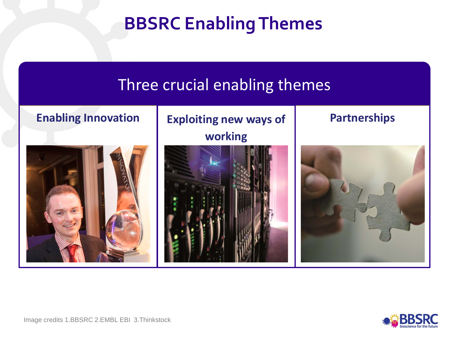# **BBSRC Enabling Themes**



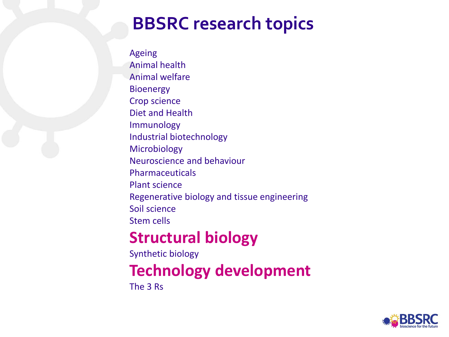### **BBSRC research topics**

Ageing Animal health Animal welfare **Bioenergy** Crop science Diet and Health Immunology Industrial biotechnology Microbiology Neuroscience and behaviour Pharmaceuticals Plant science Regenerative biology and tissue engineering Soil science Stem cells

### **Structural biology**

Synthetic biology

### **Technology development**

The 3 Rs

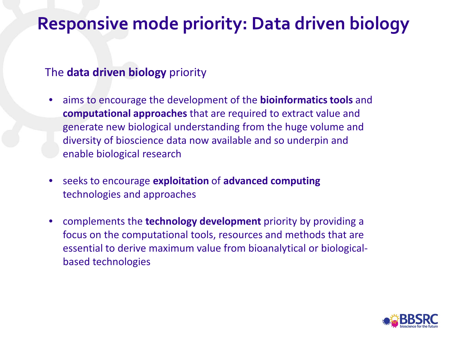### **Responsive mode priority: Data driven biology**

#### The **data driven biology** priority

- aims to encourage the development of the **bioinformatics tools** and **computational approaches** that are required to extract value and generate new biological understanding from the huge volume and diversity of bioscience data now available and so underpin and enable biological research
- seeks to encourage **exploitation** of **advanced computing**  technologies and approaches
- complements the **technology development** priority by providing a focus on the computational tools, resources and methods that are essential to derive maximum value from bioanalytical or biologicalbased technologies

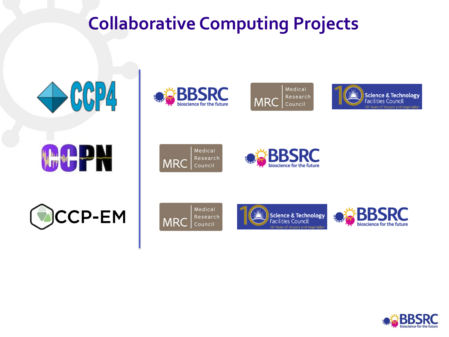# **Collaborative Computing Projects**













Medical Research **MRC** Council

**MRC** 

Medical

Council

Research







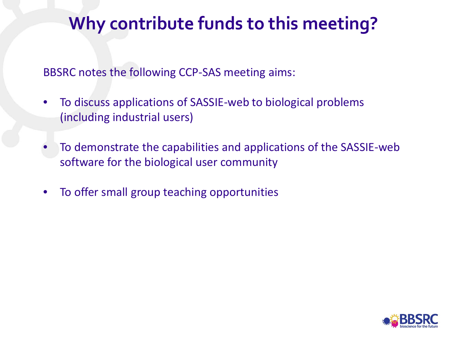# **Why contribute funds to this meeting?**

BBSRC notes the following CCP-SAS meeting aims:

- To discuss applications of SASSIE-web to biological problems (including industrial users)
- To demonstrate the capabilities and applications of the SASSIE-web software for the biological user community
- To offer small group teaching opportunities

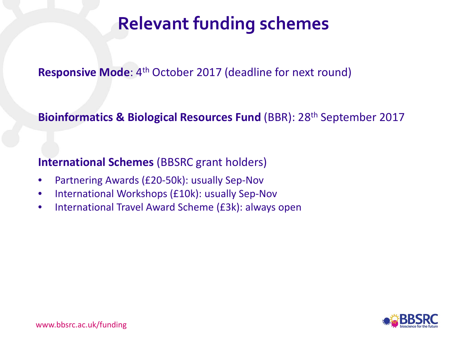# **Relevant funding schemes**

#### **Responsive Mode**: 4<sup>th</sup> October 2017 (deadline for next round)

**Bioinformatics & Biological Resources Fund (BBR): 28<sup>th</sup> September 2017** 

**International Schemes** (BBSRC grant holders)

- Partnering Awards (£20-50k): usually Sep-Nov
- International Workshops (£10k): usually Sep-Nov
- International Travel Award Scheme (£3k): always open